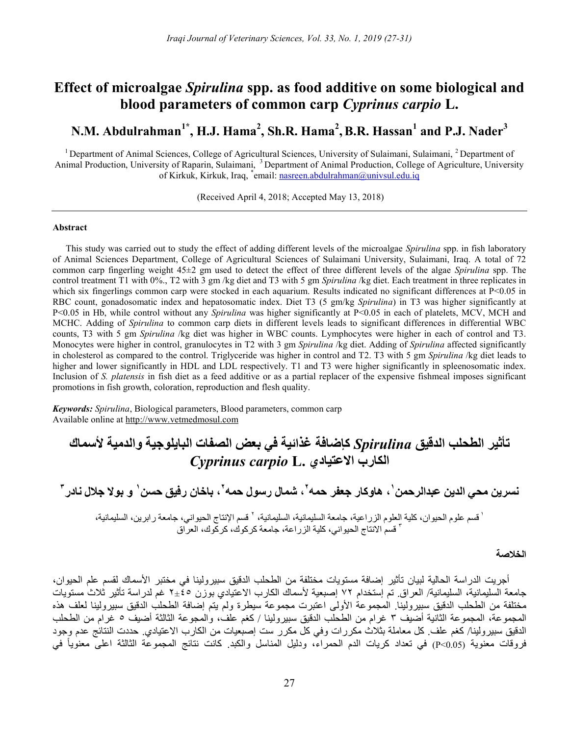# Effect of microalgae Spirulina spp. as food additive on some biological and blood parameters of common carp Cyprinus carpio L.

# N.M. Abdulrahman $^{1*}$ , H.J. Hama $^{2}$ , Sh.R. Hama $^{2}$ , B.R. Hassan $^{1}$  and P.J. Nader $^{3}$

<sup>1</sup> Department of Animal Sciences, College of Agricultural Sciences, University of Sulaimani, Sulaimani, <sup>2</sup> Department of Animal Production, University of Raparin, Sulaimani, <sup>3</sup> Department of Animal Production, College of Agriculture, University of Kirkuk, Kirkuk, Iraq, \*email: nasreen.abdulrahman@univsul.edu.iq

(Received April 4, 2018; Accepted May 13, 2018)

# Abstract

This study was carried out to study the effect of adding different levels of the microalgae Spirulina spp. in fish laboratory of Animal Sciences Department, College of Agricultural Sciences of Sulaimani University, Sulaimani, Iraq. A total of 72 common carp fingerling weight 45±2 gm used to detect the effect of three different levels of the algae Spirulina spp. The control treatment T1 with 0%., T2 with 3 gm /kg diet and T3 with 5 gm Spirulina /kg diet. Each treatment in three replicates in which six fingerlings common carp were stocked in each aquarium. Results indicated no significant differences at  $P<0.05$  in RBC count, gonadosomatic index and hepatosomatic index. Diet T3 (5 gm/kg Spirulina) in T3 was higher significantly at P<0.05 in Hb, while control without any Spirulina was higher significantly at P<0.05 in each of platelets, MCV, MCH and MCHC. Adding of *Spirulina* to common carp diets in different levels leads to significant differences in differential WBC counts, T3 with 5 gm Spirulina /kg diet was higher in WBC counts. Lymphocytes were higher in each of control and T3. Monocytes were higher in control, granulocytes in T2 with 3 gm Spirulina /kg diet. Adding of Spirulina affected significantly in cholesterol as compared to the control. Triglyceride was higher in control and T2. T3 with 5 gm Spirulina /kg diet leads to higher and lower significantly in HDL and LDL respectively. T1 and T3 were higher significantly in spleenosomatic index. Inclusion of S. platensis in fish diet as a feed additive or as a partial replacer of the expensive fishmeal imposes significant promotions in fish growth, coloration, reproduction and flesh quality.

Keywords: Spirulina, Biological parameters, Blood parameters, common carp Available online at http://www.vetmedmosul.com

# تأثير الطحلب الدقيق Spirulina كإضافة غذائية في بعض الصفات البايلوجية والدمية لأسماك Cyprinus carpio L. الاعتيادي الكارب

١ نسرين محي الدين عبدالرحمن ، هاوكار جعفر حمه ٢ ، شمال رسول حمه ، باخان رفيق حسن <sup>٢</sup> ١ <sup>٣</sup>و بولا جلال نادر

<sup>،</sup> قسم علوم الحيوان، كلية العلوم الزراعية، جامعة السليمانية، السليمانية، ` قسم الإنتاج الحيواني، جامعة رابرين، السليمانية، ٣ قسم الانتاج الحيواني، كلية الزراعة، جامعة كركوك، كركوك، العراق

## الخلاصة

أجريت الدراسة الحالية لبيان تأثير إضافة مستويات مختلفة من الطحلب الدقيق سبيرولينا في مختبر الأسماك لقسم علم الحيوان، جامعة السليمانية، السليمانية/ العراق. تم إستخدام ٧٢ إصبعية لأسماك الكارب الاعتيادي بوزن ٢±٤٥ غم لدراسة تأثير ثلاث مستويات مختلفة من الطحلب الدقيق سبيرولينا. المجموعة الأولى اعتبرت مجموعة سيطرة ولم يتم إضافة الطحلب الدقيق سبيرولينا لعلف هذه المجموعة، المجموعة الثانية أضيف ٣ غرام من الطحلب الدقيق سبيرولينا / كغم علف، والمجوعة الثالثة أضيف ٥ غرام من الطحلب الدقيق سبيرولينا/ كغم علف. كل معاملة بثلاث مكررات وفي كل مكرر ست إصبعيات من الكارب الاعتيادي. حددت النتائج عدم وجود اعلى معنوياً فروقات معنوية (0.05>P (في تعداد كريات الدم الحمراء، ودليل المناسل والكبد. كانت نتائج المجموعة الثالثة في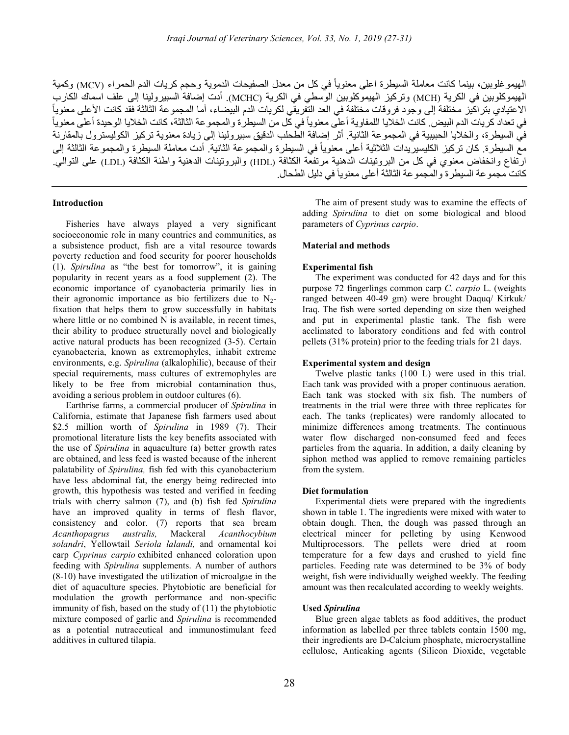الهيموغلوبين، بينما كانت معاملة السيطرة اعلى معنوياً في كل من معدل الصفيحات الدموية وحجم كريات الدم الحمراء (MCV) وكمية الهيموكلوبين في الكرية (MCH (وتركيز الهيموكلوبين الوسطي في الكرية (MCHC(. أدت إضافة السبيرولينا إلى علف اسماك الكارب الاعتيادي بتراكيز مختلفة إلى وجود فروقات مختلفة في العد التفريقي لكريات الدم البيضاء، أما المجموعة الثالثة فقد كانت الأعلى معنوياً في تعداد كريات الدم البيض. كانت الخلايا اللمفاوية أعلى معنوياً في كُل من السيطرة والمجموعة الثالثة، كانت الخلايا الوحيدة أعلى معنوياً في السيطرة، والخلايا الحبيبية في المجموعة الثانية. أثر إضافة الطحلب الدقيق سبيرولينا إلى زيادة معنوية تركيز الكوليسترول بالمقارنة مع السيطرة. كان تركيز الكليسيريدات الثلاثية أعلى معنوياً في السيطرة والمجموعة الثانية. أدت معاملة السيطرة والمجموعة الثالثة إلى ارتفاع وانخفاض معنوي في كل من البروتينات الدهنية مرتفعة الكثافة (HDL (والبروتينات الدهنية واطئة الكثافة (LDL (على التوالي. كانت مجموعة السيطرة والمجموعة الثالثة أعلى معنوياَ في دليل الطحال.

# Introduction

Fisheries have always played a very significant socioeconomic role in many countries and communities, as a subsistence product, fish are a vital resource towards poverty reduction and food security for poorer households (1). Spirulina as "the best for tomorrow", it is gaining popularity in recent years as a food supplement (2). The economic importance of cyanobacteria primarily lies in their agronomic importance as bio fertilizers due to  $N<sub>2</sub>$ fixation that helps them to grow successfully in habitats where little or no combined N is available, in recent times, their ability to produce structurally novel and biologically active natural products has been recognized (3-5). Certain cyanobacteria, known as extremophyles, inhabit extreme environments, e.g. Spirulina (alkalophilic), because of their special requirements, mass cultures of extremophyles are likely to be free from microbial contamination thus, avoiding a serious problem in outdoor cultures (6).

Earthrise farms, a commercial producer of Spirulina in California, estimate that Japanese fish farmers used about \$2.5 million worth of Spirulina in 1989 (7). Their promotional literature lists the key benefits associated with the use of Spirulina in aquaculture (a) better growth rates are obtained, and less feed is wasted because of the inherent palatability of Spirulina, fish fed with this cyanobacterium have less abdominal fat, the energy being redirected into growth, this hypothesis was tested and verified in feeding trials with cherry salmon (7), and (b) fish fed Spirulina have an improved quality in terms of flesh flavor, consistency and color. (7) reports that sea bream Acanthopagrus australis, Mackeral Acanthocybium solandri, Yellowtail Seriola lalandi, and ornamental koi carp Cyprinus carpio exhibited enhanced coloration upon feeding with Spirulina supplements. A number of authors (8-10) have investigated the utilization of microalgae in the diet of aquaculture species. Phytobiotic are beneficial for modulation the growth performance and non-specific immunity of fish, based on the study of (11) the phytobiotic mixture composed of garlic and *Spirulina* is recommended as a potential nutraceutical and immunostimulant feed additives in cultured tilapia.

The aim of present study was to examine the effects of adding Spirulina to diet on some biological and blood parameters of Cyprinus carpio.

# Material and methods

# Experimental fish

The experiment was conducted for 42 days and for this purpose 72 fingerlings common carp C. carpio L. (weights ranged between 40-49 gm) were brought Daquq/ Kirkuk/ Iraq. The fish were sorted depending on size then weighed and put in experimental plastic tank. The fish were acclimated to laboratory conditions and fed with control pellets (31% protein) prior to the feeding trials for 21 days.

#### Experimental system and design

Twelve plastic tanks (100 L) were used in this trial. Each tank was provided with a proper continuous aeration. Each tank was stocked with six fish. The numbers of treatments in the trial were three with three replicates for each. The tanks (replicates) were randomly allocated to minimize differences among treatments. The continuous water flow discharged non-consumed feed and feces particles from the aquaria. In addition, a daily cleaning by siphon method was applied to remove remaining particles from the system.

#### Diet formulation

Experimental diets were prepared with the ingredients shown in table 1. The ingredients were mixed with water to obtain dough. Then, the dough was passed through an electrical mincer for pelleting by using Kenwood Multiprocessors. The pellets were dried at room temperature for a few days and crushed to yield fine particles. Feeding rate was determined to be 3% of body weight, fish were individually weighed weekly. The feeding amount was then recalculated according to weekly weights.

#### Used Spirulina

Blue green algae tablets as food additives, the product information as labelled per three tablets contain 1500 mg, their ingredients are D-Calcium phosphate, microcrystalline cellulose, Anticaking agents (Silicon Dioxide, vegetable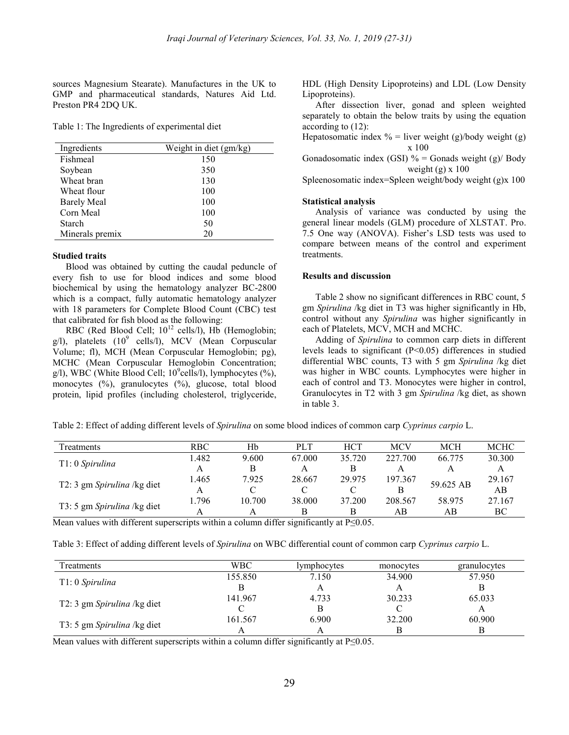sources Magnesium Stearate). Manufactures in the UK to GMP and pharmaceutical standards, Natures Aid Ltd. Preston PR4 2DQ UK.

Table 1: The Ingredients of experimental diet

| Ingredients        | Weight in diet (gm/kg) |
|--------------------|------------------------|
| Fishmeal           | 150                    |
| Soybean            | 350                    |
| Wheat bran         | 130                    |
| Wheat flour        | 100                    |
| <b>Barely Meal</b> | 100                    |
| Corn Meal          | 100                    |
| Starch             | 50                     |
| Minerals premix    | 20                     |

# Studied traits

Blood was obtained by cutting the caudal peduncle of every fish to use for blood indices and some blood biochemical by using the hematology analyzer BC-2800 which is a compact, fully automatic hematology analyzer with 18 parameters for Complete Blood Count (CBC) test that calibrated for fish blood as the following:

RBC (Red Blood Cell;  $10^{12}$  cells/l), Hb (Hemoglobin;  $g/l$ ), platelets  $(10^9 \text{ cells/l})$ , MCV (Mean Corpuscular Volume; fl), MCH (Mean Corpuscular Hemoglobin; pg), MCHC (Mean Corpuscular Hemoglobin Concentration;  $g$ /l), WBC (White Blood Cell; 10<sup>9</sup>cells/l), lymphocytes (%), monocytes (%), granulocytes (%), glucose, total blood protein, lipid profiles (including cholesterol, triglyceride,

HDL (High Density Lipoproteins) and LDL (Low Density Lipoproteins).

After dissection liver, gonad and spleen weighted separately to obtain the below traits by using the equation according to (12):

Hepatosomatic index  $%$  = liver weight (g)/body weight (g) x 100 Gonadosomatic index (GSI) % = Gonads weight (g)/ Body

weight  $(g)$  x 100 Spleenosomatic index=Spleen weight/body weight (g)x 100

## Statistical analysis

Analysis of variance was conducted by using the general linear models (GLM) procedure of XLSTAT. Pro. 7.5 One way (ANOVA). Fisher's LSD tests was used to compare between means of the control and experiment treatments.

# Results and discussion

Table 2 show no significant differences in RBC count, 5 gm Spirulina /kg diet in T3 was higher significantly in Hb, control without any Spirulina was higher significantly in each of Platelets, MCV, MCH and MCHC.

Adding of Spirulina to common carp diets in different levels leads to significant (P<0.05) differences in studied differential WBC counts, T3 with 5 gm Spirulina /kg diet was higher in WBC counts. Lymphocytes were higher in each of control and T3. Monocytes were higher in control, Granulocytes in T2 with 3 gm Spirulina /kg diet, as shown in table 3.

Table 2: Effect of adding different levels of *Spirulina* on some blood indices of common carp Cyprinus carpio L.

| Treatments                  | RBC.  | Hb     | <b>PLT</b> | <b>HCT</b> | <b>MCV</b> | MCH       | <b>MCHC</b> |
|-----------------------------|-------|--------|------------|------------|------------|-----------|-------------|
|                             | 1.482 | 9.600  | 67.000     | 35.720     | 227.700    | 66.775    | 30.300      |
| T1: 0 Spirulina             |       | В      |            |            |            |           |             |
|                             | 1.465 | 7.925  | 28.667     | 29.975     | 197.367    | 59.625 AB | 29.167      |
| T2: 3 gm Spirulina /kg diet |       |        |            |            |            |           | AВ          |
| T3: 5 gm Spirulina /kg diet | 1.796 | 10.700 | 38,000     | 37.200     | 208.567    | 58.975    | 27.167      |
|                             |       |        |            | В          | AВ         | АB        | ВC          |

Mean values with different superscripts within a column differ significantly at  $P \le 0.05$ .

Table 3: Effect of adding different levels of Spirulina on WBC differential count of common carp Cyprinus carpio L.

| Treatments                  | WBC     | lymphocytes | monocytes | granulocytes |
|-----------------------------|---------|-------------|-----------|--------------|
|                             | 155.850 | 7.150       | 34.900    | 57.950       |
| $T1:0$ Spirulina            |         | A           |           | В            |
|                             | 141.967 | 4.733       | 30.233    | 65.033       |
| T2: 3 gm Spirulina /kg diet |         | B           |           |              |
|                             | 161.567 | 6.900       | 32.200    | 60.900       |
| T3: 5 gm Spirulina /kg diet |         | A           |           |              |

Mean values with different superscripts within a column differ significantly at  $P \le 0.05$ .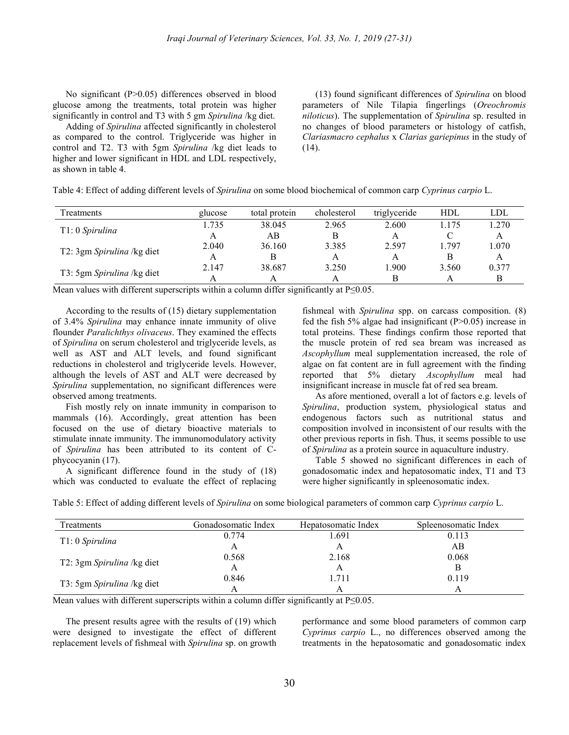No significant (P>0.05) differences observed in blood glucose among the treatments, total protein was higher significantly in control and T3 with 5 gm Spirulina /kg diet.

Adding of Spirulina affected significantly in cholesterol as compared to the control. Triglyceride was higher in control and T2. T3 with 5gm Spirulina /kg diet leads to higher and lower significant in HDL and LDL respectively, as shown in table 4.

(13) found significant differences of Spirulina on blood parameters of Nile Tilapia fingerlings (Oreochromis niloticus). The supplementation of Spirulina sp. resulted in no changes of blood parameters or histology of catfish, Clariasmacro cephalus x Clarias gariepinus in the study of  $(14)$ .

| Table 4: Effect of adding different levels of Spirulina on some blood biochemical of common carp Cyprinus carpio L. |  |  |  |
|---------------------------------------------------------------------------------------------------------------------|--|--|--|
|                                                                                                                     |  |  |  |

| Treatments                 | glucose | total protein | cholesterol | triglyceride | HDL   | LDL   |
|----------------------------|---------|---------------|-------------|--------------|-------|-------|
| T1: 0 Spirulina            | 1.735   | 38.045        | 2.965       | 2.600        | 1.175 | 1.270 |
|                            |         | AB            |             | А            |       | A     |
|                            | 2.040   | 36.160        | 3.385       | 2.597        | 1.797 | 1.070 |
| T2: 3gm Spirulina /kg diet | А       |               |             | А            |       | A     |
|                            | 2.147   | 38.687        | 3.250       | 1.900        | 3.560 | 0.377 |
| T3: 5gm Spirulina /kg diet |         |               |             | B            |       |       |

Mean values with different superscripts within a column differ significantly at P≤0.05.

According to the results of (15) dietary supplementation of 3.4% Spirulina may enhance innate immunity of olive flounder Paralichthys olivaceus. They examined the effects of Spirulina on serum cholesterol and triglyceride levels, as well as AST and ALT levels, and found significant reductions in cholesterol and triglyceride levels. However, although the levels of AST and ALT were decreased by Spirulina supplementation, no significant differences were observed among treatments.

Fish mostly rely on innate immunity in comparison to mammals (16). Accordingly, great attention has been focused on the use of dietary bioactive materials to stimulate innate immunity. The immunomodulatory activity of Spirulina has been attributed to its content of Cphycocyanin (17).

A significant difference found in the study of (18) which was conducted to evaluate the effect of replacing

fishmeal with Spirulina spp. on carcass composition. (8) fed the fish 5% algae had insignificant (P>0.05) increase in total proteins. These findings confirm those reported that the muscle protein of red sea bream was increased as Ascophyllum meal supplementation increased, the role of algae on fat content are in full agreement with the finding reported that 5% dietary Ascophyllum meal had insignificant increase in muscle fat of red sea bream.

As afore mentioned, overall a lot of factors e.g. levels of Spirulina, production system, physiological status and endogenous factors such as nutritional status and composition involved in inconsistent of our results with the other previous reports in fish. Thus, it seems possible to use of Spirulina as a protein source in aquaculture industry.

Table 5 showed no significant differences in each of gonadosomatic index and hepatosomatic index, T1 and T3 were higher significantly in spleenosomatic index.

|  | Table 5: Effect of adding different levels of Spirulina on some biological parameters of common carp Cyprinus carpio L. |
|--|-------------------------------------------------------------------------------------------------------------------------|
|  |                                                                                                                         |

| Treatments                 | Gonadosomatic Index | Hepatosomatic Index | Spleenosomatic Index |
|----------------------------|---------------------|---------------------|----------------------|
|                            | 0.774               | 1.691               | 0.113                |
| T1: 0 Spirulina            | A                   |                     | AВ                   |
| T2: 3gm Spirulina /kg diet | 0.568               | 2.168               | 0.068                |
|                            | A                   |                     |                      |
| T3: 5gm Spirulina /kg diet | 0.846               | l.711               | 0.119                |
|                            | А                   |                     | A                    |

Mean values with different superscripts within a column differ significantly at  $P \le 0.05$ .

The present results agree with the results of (19) which were designed to investigate the effect of different replacement levels of fishmeal with Spirulina sp. on growth performance and some blood parameters of common carp Cyprinus carpio L., no differences observed among the treatments in the hepatosomatic and gonadosomatic index